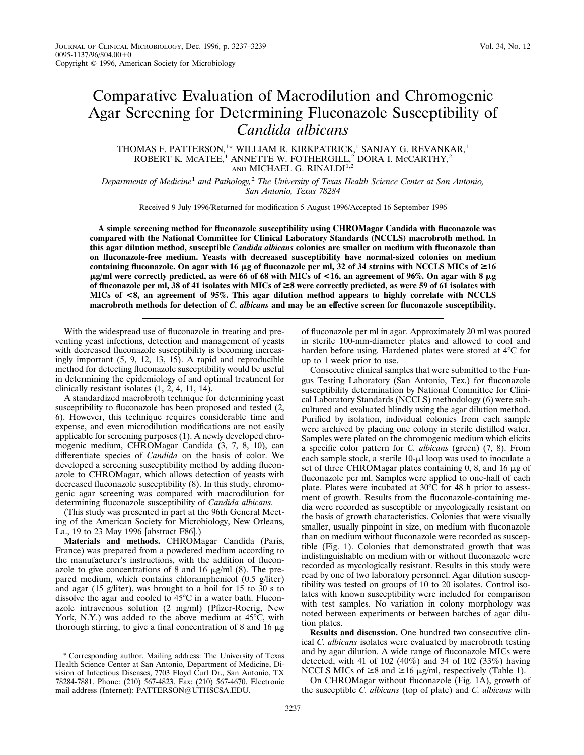## Comparative Evaluation of Macrodilution and Chromogenic Agar Screening for Determining Fluconazole Susceptibility of *Candida albicans*

## THOMAS F. PATTERSON,<sup>1\*</sup> WILLIAM R. KIRKPATRICK,<sup>1</sup> SANJAY G. REVANKAR,<sup>1</sup> ROBERT K. MCATEE,<sup>1</sup> ANNETTE W. FOTHERGILL,<sup>2</sup> DORA I. MCCARTHY,<sup>2</sup> AND MICHAEL G. RINALDI<sup>1,2</sup>

*Departments of Medicine*<sup>1</sup> *and Pathology,*<sup>2</sup> *The University of Texas Health Science Center at San Antonio, San Antonio, Texas 78284*

Received 9 July 1996/Returned for modification 5 August 1996/Accepted 16 September 1996

**A simple screening method for fluconazole susceptibility using CHROMagar Candida with fluconazole was compared with the National Committee for Clinical Laboratory Standards (NCCLS) macrobroth method. In this agar dilution method, susceptible** *Candida albicans* **colonies are smaller on medium with fluconazole than on fluconazole-free medium. Yeasts with decreased susceptibility have normal-sized colonies on medium** containing fluconazole. On agar with 16  $\mu$ g of fluconazole per ml, 32 of 34 strains with NCCLS MICs of  $\geq$ 16 pg/ml were correctly predicted, as were 66 of 68 with MICs of <16, an agreement of 96%. On agar with 8 pg **of fluconazole per ml, 38 of 41 isolates with MICs of** >**8 were correctly predicted, as were 59 of 61 isolates with MICs of <8, an agreement of 95%. This agar dilution method appears to highly correlate with NCCLS macrobroth methods for detection of** *C. albicans* **and may be an effective screen for fluconazole susceptibility.**

With the widespread use of fluconazole in treating and preventing yeast infections, detection and management of yeasts with decreased fluconazole susceptibility is becoming increasingly important (5, 9, 12, 13, 15). A rapid and reproducible method for detecting fluconazole susceptibility would be useful in determining the epidemiology of and optimal treatment for clinically resistant isolates (1, 2, 4, 11, 14).

A standardized macrobroth technique for determining yeast susceptibility to fluconazole has been proposed and tested (2, 6). However, this technique requires considerable time and expense, and even microdilution modifications are not easily applicable for screening purposes (1). A newly developed chromogenic medium, CHROMagar Candida (3, 7, 8, 10), can differentiate species of *Candida* on the basis of color. We developed a screening susceptibility method by adding fluconazole to CHROMagar, which allows detection of yeasts with decreased fluconazole susceptibility (8). In this study, chromogenic agar screening was compared with macrodilution for determining fluconazole susceptibility of *Candida albicans.*

(This study was presented in part at the 96th General Meeting of the American Society for Microbiology, New Orleans, La., 19 to 23 May 1996 [abstract F86].)

**Materials and methods.** CHROMagar Candida (Paris, France) was prepared from a powdered medium according to the manufacturer's instructions, with the addition of fluconazole to give concentrations of 8 and 16  $\mu$ g/ml (8). The prepared medium, which contains chloramphenicol (0.5 g/liter) and agar (15 g/liter), was brought to a boil for 15 to 30 s to dissolve the agar and cooled to  $45^{\circ}$ C in a water bath. Fluconazole intravenous solution (2 mg/ml) (Pfizer-Roerig, New York, N.Y.) was added to the above medium at  $45^{\circ}$ C, with thorough stirring, to give a final concentration of 8 and 16  $\mu$ g of fluconazole per ml in agar. Approximately 20 ml was poured in sterile 100-mm-diameter plates and allowed to cool and harden before using. Hardened plates were stored at 4°C for up to 1 week prior to use.

Consecutive clinical samples that were submitted to the Fungus Testing Laboratory (San Antonio, Tex.) for fluconazole susceptibility determination by National Committee for Clinical Laboratory Standards (NCCLS) methodology (6) were subcultured and evaluated blindly using the agar dilution method. Purified by isolation, individual colonies from each sample were archived by placing one colony in sterile distilled water. Samples were plated on the chromogenic medium which elicits a specific color pattern for *C. albicans* (green) (7, 8). From each sample stock, a sterile  $10$ - $\mu$ l loop was used to inoculate a set of three CHROMagar plates containing 0, 8, and 16  $\mu$ g of fluconazole per ml. Samples were applied to one-half of each plate. Plates were incubated at  $30^{\circ}$ C for 48 h prior to assessment of growth. Results from the fluconazole-containing media were recorded as susceptible or mycologically resistant on the basis of growth characteristics. Colonies that were visually smaller, usually pinpoint in size, on medium with fluconazole than on medium without fluconazole were recorded as susceptible (Fig. 1). Colonies that demonstrated growth that was indistinguishable on medium with or without fluconazole were recorded as mycologically resistant. Results in this study were read by one of two laboratory personnel. Agar dilution susceptibility was tested on groups of 10 to 20 isolates. Control isolates with known susceptibility were included for comparison with test samples. No variation in colony morphology was noted between experiments or between batches of agar dilution plates.

**Results and discussion.** One hundred two consecutive clinical *C. albicans* isolates were evaluated by macrobroth testing and by agar dilution. A wide range of fluconazole MICs were detected, with 41 of 102 (40%) and 34 of 102 (33%) having NCCLS MICs of  $\geq 8$  and  $\geq 16$  µg/ml, respectively (Table 1).

On CHROMagar without fluconazole (Fig. 1A), growth of the susceptible *C. albicans* (top of plate) and *C. albicans* with

<sup>\*</sup> Corresponding author. Mailing address: The University of Texas Health Science Center at San Antonio, Department of Medicine, Division of Infectious Diseases, 7703 Floyd Curl Dr., San Antonio, TX 78284-7881. Phone: (210) 567-4823. Fax: (210) 567-4670. Electronic mail address (Internet): PATTERSON@UTHSCSA.EDU.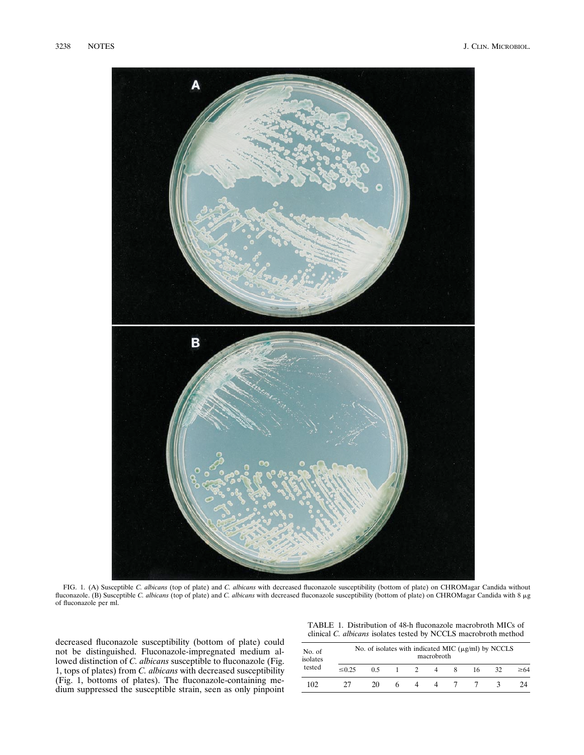

FIG. 1. (A) Susceptible *C. albicans* (top of plate) and *C. albicans* with decreased fluconazole susceptibility (bottom of plate) on CHROMagar Candida without fluconazole. (B) Susceptible *C. albicans* (top of plate) and *C. albicans* with decreased fluconazole susceptibility (bottom of plate) on CHROMagar Candida with 8 µg of fluconazole per ml.

decreased fluconazole susceptibility (bottom of plate) could not be distinguished. Fluconazole-impregnated medium allowed distinction of *C. albicans* susceptible to fluconazole (Fig. 1, tops of plates) from *C. albicans* with decreased susceptibility (Fig. 1, bottoms of plates). The fluconazole-containing medium suppressed the susceptible strain, seen as only pinpoint

TABLE 1. Distribution of 48-h fluconazole macrobroth MICs of clinical *C. albicans* isolates tested by NCCLS macrobroth method

| No. of<br>isolates<br>tested | No. of isolates with indicated MIC $(\mu g/ml)$ by NCCLS<br>macrobroth |     |   |               |  |  |    |    |           |  |
|------------------------------|------------------------------------------------------------------------|-----|---|---------------|--|--|----|----|-----------|--|
|                              | $\leq 0.25$                                                            | 0.5 |   | $\mathcal{L}$ |  |  | 16 | 32 | $\geq 64$ |  |
| 102                          |                                                                        | 20  | h |               |  |  |    |    | 24        |  |